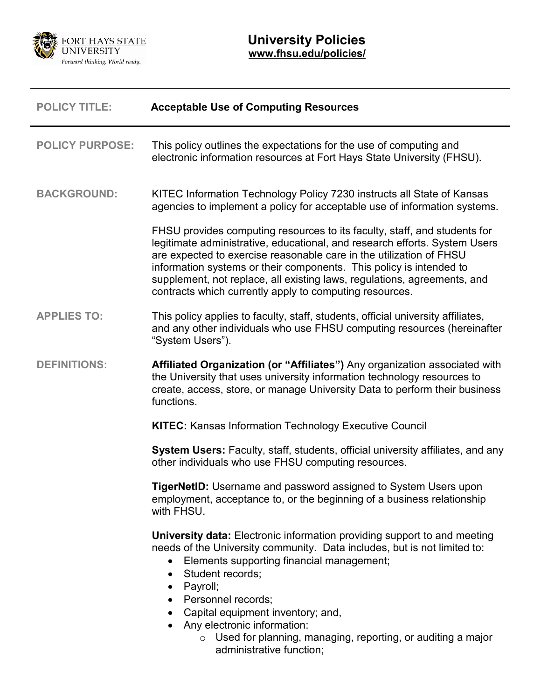

| <b>POLICY TITLE:</b>   | <b>Acceptable Use of Computing Resources</b>                                                                                                                                                                                                                                                                                                                                                                                                                        |
|------------------------|---------------------------------------------------------------------------------------------------------------------------------------------------------------------------------------------------------------------------------------------------------------------------------------------------------------------------------------------------------------------------------------------------------------------------------------------------------------------|
| <b>POLICY PURPOSE:</b> | This policy outlines the expectations for the use of computing and<br>electronic information resources at Fort Hays State University (FHSU).                                                                                                                                                                                                                                                                                                                        |
| <b>BACKGROUND:</b>     | KITEC Information Technology Policy 7230 instructs all State of Kansas<br>agencies to implement a policy for acceptable use of information systems.                                                                                                                                                                                                                                                                                                                 |
|                        | FHSU provides computing resources to its faculty, staff, and students for<br>legitimate administrative, educational, and research efforts. System Users<br>are expected to exercise reasonable care in the utilization of FHSU<br>information systems or their components. This policy is intended to<br>supplement, not replace, all existing laws, regulations, agreements, and<br>contracts which currently apply to computing resources.                        |
| <b>APPLIES TO:</b>     | This policy applies to faculty, staff, students, official university affiliates,<br>and any other individuals who use FHSU computing resources (hereinafter<br>"System Users").                                                                                                                                                                                                                                                                                     |
| <b>DEFINITIONS:</b>    | Affiliated Organization (or "Affiliates") Any organization associated with<br>the University that uses university information technology resources to<br>create, access, store, or manage University Data to perform their business<br>functions.                                                                                                                                                                                                                   |
|                        | <b>KITEC:</b> Kansas Information Technology Executive Council                                                                                                                                                                                                                                                                                                                                                                                                       |
|                        | System Users: Faculty, staff, students, official university affiliates, and any<br>other individuals who use FHSU computing resources.                                                                                                                                                                                                                                                                                                                              |
|                        | <b>TigerNetID:</b> Username and password assigned to System Users upon<br>employment, acceptance to, or the beginning of a business relationship<br>with FHSU.                                                                                                                                                                                                                                                                                                      |
|                        | <b>University data:</b> Electronic information providing support to and meeting<br>needs of the University community. Data includes, but is not limited to:<br>Elements supporting financial management;<br>Student records;<br>$\bullet$<br>Payroll;<br>$\bullet$<br>• Personnel records;<br>Capital equipment inventory; and,<br>• Any electronic information:<br>$\circ$ Used for planning, managing, reporting, or auditing a major<br>administrative function; |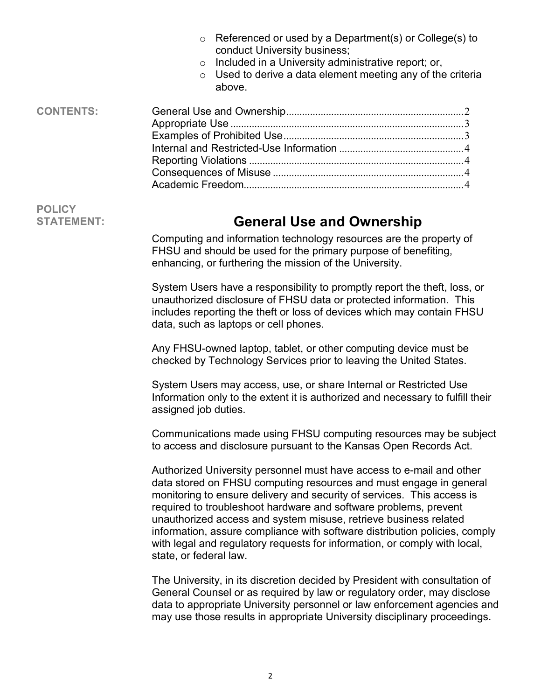<span id="page-1-0"></span>

|                                    | Referenced or used by a Department(s) or College(s) to<br>$\circ$<br>conduct University business;<br>Included in a University administrative report; or,<br>$\circ$<br>Used to derive a data element meeting any of the criteria<br>$\circ$<br>above.                                                                                                                                                                                                                                                                                             |
|------------------------------------|---------------------------------------------------------------------------------------------------------------------------------------------------------------------------------------------------------------------------------------------------------------------------------------------------------------------------------------------------------------------------------------------------------------------------------------------------------------------------------------------------------------------------------------------------|
| <b>CONTENTS:</b>                   |                                                                                                                                                                                                                                                                                                                                                                                                                                                                                                                                                   |
| <b>POLICY</b><br><b>STATEMENT:</b> | <b>General Use and Ownership</b>                                                                                                                                                                                                                                                                                                                                                                                                                                                                                                                  |
|                                    | Computing and information technology resources are the property of<br>FHSU and should be used for the primary purpose of benefiting,<br>enhancing, or furthering the mission of the University.                                                                                                                                                                                                                                                                                                                                                   |
|                                    | System Users have a responsibility to promptly report the theft, loss, or<br>unauthorized disclosure of FHSU data or protected information. This<br>includes reporting the theft or loss of devices which may contain FHSU<br>data, such as laptops or cell phones.                                                                                                                                                                                                                                                                               |
|                                    | Any FHSU-owned laptop, tablet, or other computing device must be<br>checked by Technology Services prior to leaving the United States.                                                                                                                                                                                                                                                                                                                                                                                                            |
|                                    | System Users may access, use, or share Internal or Restricted Use<br>Information only to the extent it is authorized and necessary to fulfill their<br>assigned job duties.                                                                                                                                                                                                                                                                                                                                                                       |
|                                    | Communications made using FHSU computing resources may be subject<br>to access and disclosure pursuant to the Kansas Open Records Act.                                                                                                                                                                                                                                                                                                                                                                                                            |
|                                    | Authorized University personnel must have access to e-mail and other<br>data stored on FHSU computing resources and must engage in general<br>monitoring to ensure delivery and security of services. This access is<br>required to troubleshoot hardware and software problems, prevent<br>unauthorized access and system misuse, retrieve business related<br>information, assure compliance with software distribution policies, comply<br>with legal and regulatory requests for information, or comply with local,<br>state, or federal law. |
|                                    | The University, in its discretion decided by President with consultation of<br>General Counsel or as required by law or regulatory order, may disclose<br>data to appropriate University personnel or law enforcement agencies and<br>may use those results in appropriate University disciplinary proceedings.                                                                                                                                                                                                                                   |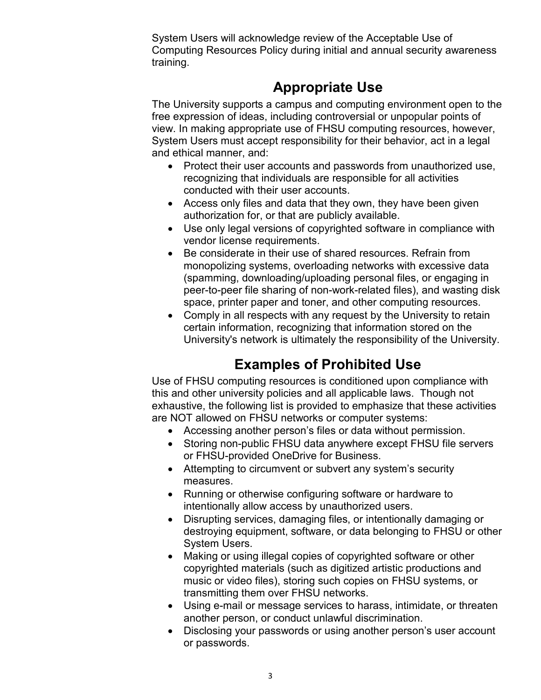System Users will acknowledge review of the Acceptable Use of Computing Resources Policy during initial and annual security awareness training.

# **Appropriate Use**

<span id="page-2-0"></span>The University supports a campus and computing environment open to the free expression of ideas, including controversial or unpopular points of view. In making appropriate use of FHSU computing resources, however, System Users must accept responsibility for their behavior, act in a legal and ethical manner, and:

- Protect their user accounts and passwords from unauthorized use, recognizing that individuals are responsible for all activities conducted with their user accounts.
- Access only files and data that they own, they have been given authorization for, or that are publicly available.
- Use only legal versions of copyrighted software in compliance with vendor license requirements.
- Be considerate in their use of shared resources. Refrain from monopolizing systems, overloading networks with excessive data (spamming, downloading/uploading personal files, or engaging in peer-to-peer file sharing of non-work-related files), and wasting disk space, printer paper and toner, and other computing resources.
- Comply in all respects with any request by the University to retain certain information, recognizing that information stored on the University's network is ultimately the responsibility of the University.

# **Examples of Prohibited Use**

<span id="page-2-1"></span>Use of FHSU computing resources is conditioned upon compliance with this and other university policies and all applicable laws. Though not exhaustive, the following list is provided to emphasize that these activities are NOT allowed on FHSU networks or computer systems:

- Accessing another person's files or data without permission.
- Storing non-public FHSU data anywhere except FHSU file servers or FHSU-provided OneDrive for Business.
- Attempting to circumvent or subvert any system's security measures.
- Running or otherwise configuring software or hardware to intentionally allow access by unauthorized users.
- Disrupting services, damaging files, or intentionally damaging or destroying equipment, software, or data belonging to FHSU or other System Users.
- Making or using illegal copies of copyrighted software or other copyrighted materials (such as digitized artistic productions and music or video files), storing such copies on FHSU systems, or transmitting them over FHSU networks.
- Using e-mail or message services to harass, intimidate, or threaten another person, or conduct unlawful discrimination.
- Disclosing your passwords or using another person's user account or passwords.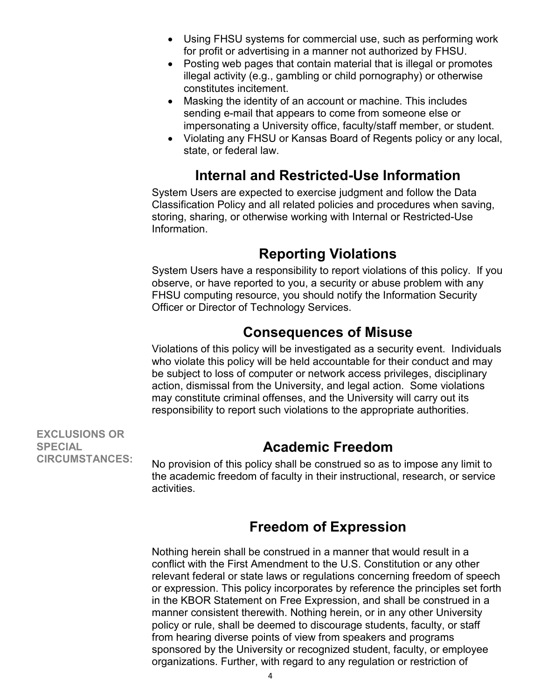- Using FHSU systems for commercial use, such as performing work for profit or advertising in a manner not authorized by FHSU.
- Posting web pages that contain material that is illegal or promotes illegal activity (e.g., gambling or child pornography) or otherwise constitutes incitement.
- Masking the identity of an account or machine. This includes sending e-mail that appears to come from someone else or impersonating a University office, faculty/staff member, or student.
- <span id="page-3-0"></span>• Violating any FHSU or Kansas Board of Regents policy or any local, state, or federal law.

## **Internal and Restricted-Use Information**

System Users are expected to exercise judgment and follow the Data Classification Policy and all related policies and procedures when saving, storing, sharing, or otherwise working with Internal or Restricted-Use Information.

## **Reporting Violations**

<span id="page-3-1"></span>System Users have a responsibility to report violations of this policy. If you observe, or have reported to you, a security or abuse problem with any FHSU computing resource, you should notify the Information Security Officer or Director of Technology Services.

### **Consequences of Misuse**

<span id="page-3-2"></span>Violations of this policy will be investigated as a security event. Individuals who violate this policy will be held accountable for their conduct and may be subject to loss of computer or network access privileges, disciplinary action, dismissal from the University, and legal action. Some violations may constitute criminal offenses, and the University will carry out its responsibility to report such violations to the appropriate authorities.

**EXCLUSIONS OR SPECIAL CIRCUMSTANCES:**

### **Academic Freedom**

<span id="page-3-3"></span>No provision of this policy shall be construed so as to impose any limit to the academic freedom of faculty in their instructional, research, or service activities.

## **Freedom of Expression**

Nothing herein shall be construed in a manner that would result in a conflict with the First Amendment to the U.S. Constitution or any other relevant federal or state laws or regulations concerning freedom of speech or expression. This policy incorporates by reference the principles set forth in the KBOR Statement on Free Expression, and shall be construed in a manner consistent therewith. Nothing herein, or in any other University policy or rule, shall be deemed to discourage students, faculty, or staff from hearing diverse points of view from speakers and programs sponsored by the University or recognized student, faculty, or employee organizations. Further, with regard to any regulation or restriction of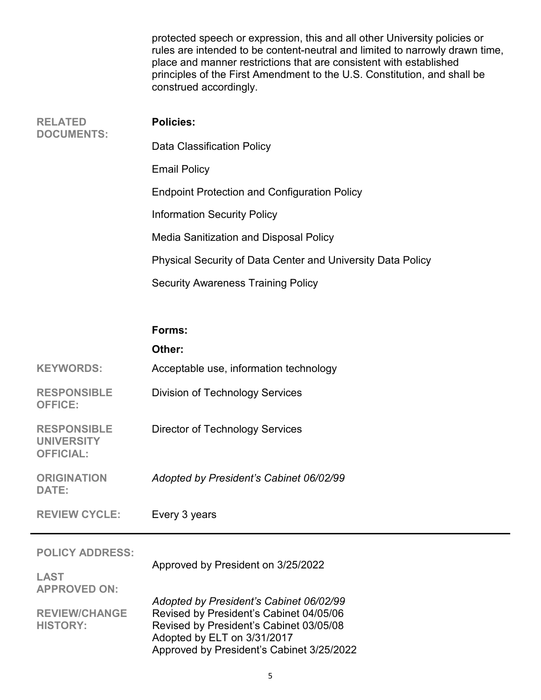|                                     | protected speech or expression, this and all other University policies or<br>rules are intended to be content-neutral and limited to narrowly drawn time,<br>place and manner restrictions that are consistent with established<br>principles of the First Amendment to the U.S. Constitution, and shall be<br>construed accordingly. |
|-------------------------------------|---------------------------------------------------------------------------------------------------------------------------------------------------------------------------------------------------------------------------------------------------------------------------------------------------------------------------------------|
| <b>RELATED</b><br><b>DOCUMENTS:</b> | <b>Policies:</b>                                                                                                                                                                                                                                                                                                                      |
|                                     | Data Classification Policy                                                                                                                                                                                                                                                                                                            |
|                                     | <b>Email Policy</b>                                                                                                                                                                                                                                                                                                                   |
|                                     | <b>Endpoint Protection and Configuration Policy</b>                                                                                                                                                                                                                                                                                   |
|                                     | Information Security Policy                                                                                                                                                                                                                                                                                                           |
|                                     | Media Sanitization and Disposal Policy                                                                                                                                                                                                                                                                                                |
|                                     | Physical Security of Data Center and University Data Policy                                                                                                                                                                                                                                                                           |
|                                     | <b>Security Awareness Training Policy</b>                                                                                                                                                                                                                                                                                             |
|                                     |                                                                                                                                                                                                                                                                                                                                       |

|                                                             | Forms:                                  |
|-------------------------------------------------------------|-----------------------------------------|
|                                                             | Other:                                  |
| <b>KEYWORDS:</b>                                            | Acceptable use, information technology  |
| <b>RESPONSIBLE</b><br><b>OFFICE:</b>                        | <b>Division of Technology Services</b>  |
| <b>RESPONSIBLE</b><br><b>UNIVERSITY</b><br><b>OFFICIAL:</b> | Director of Technology Services         |
| <b>ORIGINATION</b><br><b>DATE:</b>                          | Adopted by President's Cabinet 06/02/99 |
| <b>REVIEW CYCLE:</b>                                        | Every 3 years                           |
| <b>POLICY ADDRESS:</b>                                      |                                         |
| LAST                                                        | Approved by President on 3/25/2022      |
| <b>APPROVED ON:</b>                                         | Adopted by President's Cabinet 06/02/99 |

**REVIEW/CHANGE HISTORY:** Revised by President's Cabinet 04/05/06 Revised by President's Cabinet 03/05/08 Adopted by ELT on 3/31/2017 Approved by President's Cabinet 3/25/2022